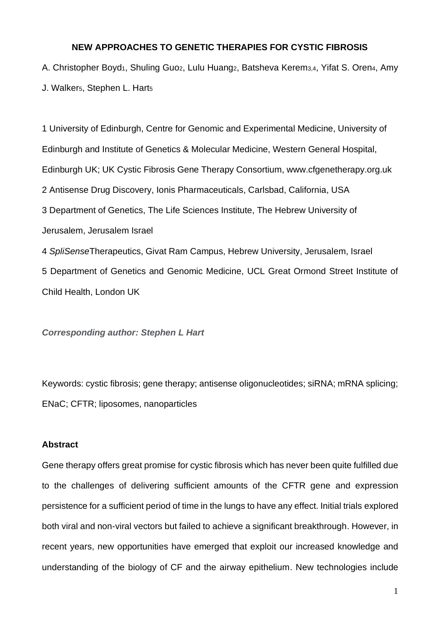# **NEW APPROACHES TO GENETIC THERAPIES FOR CYSTIC FIBROSIS**

A. Christopher Boyd<sub>1</sub>, Shuling Guoz, Lulu Huangz, Batsheva Kerem<sub>3,4</sub>, Yifat S. Oren<sub>4</sub>, Amy J. Walkers, Stephen L. Harts

1 University of Edinburgh, Centre for Genomic and Experimental Medicine, University of Edinburgh and Institute of Genetics & Molecular Medicine, Western General Hospital, Edinburgh UK; UK Cystic Fibrosis Gene Therapy Consortium, www.cfgenetherapy.org.uk 2 Antisense Drug Discovery, Ionis Pharmaceuticals, Carlsbad, California, USA 3 Department of Genetics, The Life Sciences Institute, The Hebrew University of Jerusalem, Jerusalem Israel

4 *SpliSense*Therapeutics, Givat Ram Campus, Hebrew University, Jerusalem, Israel 5 Department of Genetics and Genomic Medicine, UCL Great Ormond Street Institute of Child Health, London UK

*Corresponding author: Stephen L Hart*

Keywords: cystic fibrosis; gene therapy; antisense oligonucleotides; siRNA; mRNA splicing; ENaC; CFTR; liposomes, nanoparticles

## **Abstract**

Gene therapy offers great promise for cystic fibrosis which has never been quite fulfilled due to the challenges of delivering sufficient amounts of the CFTR gene and expression persistence for a sufficient period of time in the lungs to have any effect. Initial trials explored both viral and non-viral vectors but failed to achieve a significant breakthrough. However, in recent years, new opportunities have emerged that exploit our increased knowledge and understanding of the biology of CF and the airway epithelium. New technologies include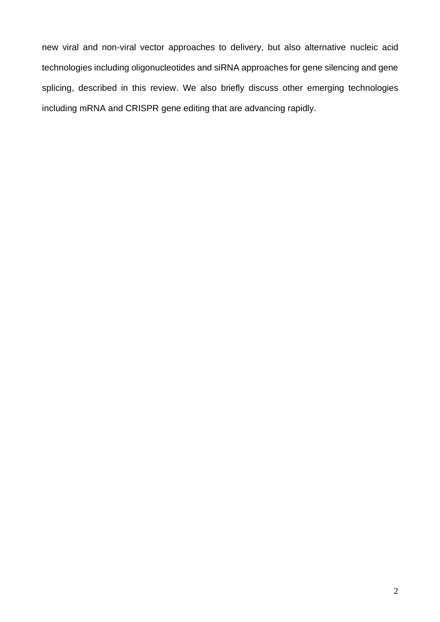new viral and non-viral vector approaches to delivery, but also alternative nucleic acid technologies including oligonucleotides and siRNA approaches for gene silencing and gene splicing, described in this review. We also briefly discuss other emerging technologies including mRNA and CRISPR gene editing that are advancing rapidly.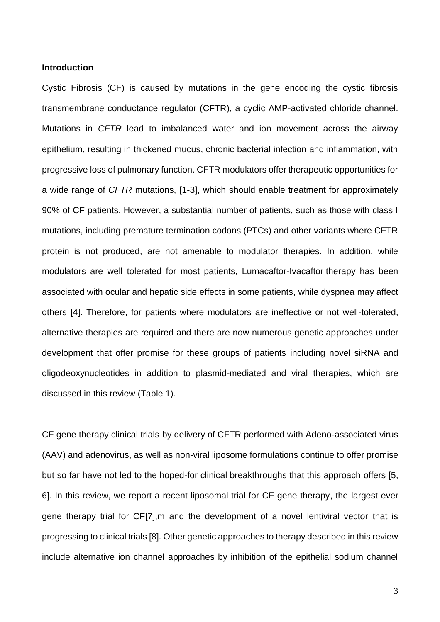## **Introduction**

Cystic Fibrosis (CF) is caused by mutations in the gene encoding the cystic fibrosis transmembrane conductance regulator (CFTR), a cyclic AMP-activated chloride channel. Mutations in *CFTR* lead to imbalanced water and ion movement across the airway epithelium, resulting in thickened mucus, chronic bacterial infection and inflammation, with progressive loss of pulmonary function. CFTR modulators offer therapeutic opportunities for a wide range of *CFTR* mutations, [1-3], which should enable treatment for approximately 90% of CF patients. However, a substantial number of patients, such as those with class I mutations, including premature termination codons (PTCs) and other variants where CFTR protein is not produced, are not amenable to modulator therapies. In addition, while modulators are well tolerated for most patients, Lumacaftor-Ivacaftor therapy has been associated with ocular and hepatic side effects in some patients, while dyspnea may affect others [4]. Therefore, for patients where modulators are ineffective or not well-tolerated, alternative therapies are required and there are now numerous genetic approaches under development that offer promise for these groups of patients including novel siRNA and oligodeoxynucleotides in addition to plasmid-mediated and viral therapies, which are discussed in this review (Table 1).

CF gene therapy clinical trials by delivery of CFTR performed with Adeno-associated virus (AAV) and adenovirus, as well as non-viral liposome formulations continue to offer promise but so far have not led to the hoped-for clinical breakthroughs that this approach offers [5, 6]. In this review, we report a recent liposomal trial for CF gene therapy, the largest ever gene therapy trial for CF[7],m and the development of a novel lentiviral vector that is progressing to clinical trials [8]. Other genetic approaches to therapy described in this review include alternative ion channel approaches by inhibition of the epithelial sodium channel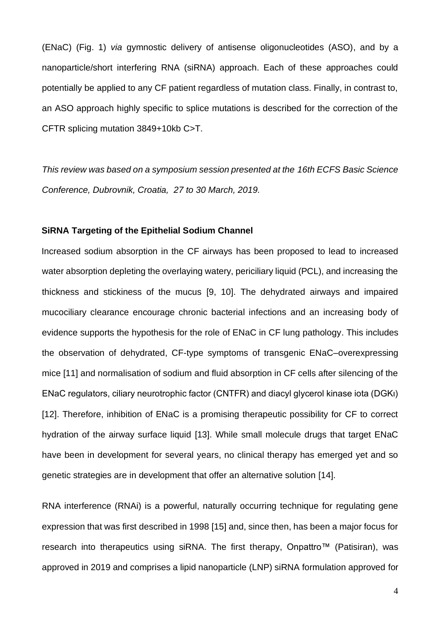(ENaC) (Fig. 1) *via* gymnostic delivery of antisense oligonucleotides (ASO), and by a nanoparticle/short interfering RNA (siRNA) approach. Each of these approaches could potentially be applied to any CF patient regardless of mutation class. Finally, in contrast to, an ASO approach highly specific to splice mutations is described for the correction of the CFTR splicing mutation 3849+10kb C>T.

*This review was based on a symposium session presented at the 16th ECFS Basic Science Conference, Dubrovnik, Croatia, 27 to 30 March, 2019.*

## **SiRNA Targeting of the Epithelial Sodium Channel**

Increased sodium absorption in the CF airways has been proposed to lead to increased water absorption depleting the overlaying watery, periciliary liquid (PCL), and increasing the thickness and stickiness of the mucus [9, 10]. The dehydrated airways and impaired mucociliary clearance encourage chronic bacterial infections and an increasing body of evidence supports the hypothesis for the role of ENaC in CF lung pathology. This includes the observation of dehydrated, CF-type symptoms of transgenic ENaC–overexpressing mice [11] and normalisation of sodium and fluid absorption in CF cells after silencing of the ENaC regulators, ciliary neurotrophic factor (CNTFR) and diacyl glycerol kinase iota (DGKι) [12]. Therefore, inhibition of ENaC is a promising therapeutic possibility for CF to correct hydration of the airway surface liquid [13]. While small molecule drugs that target ENaC have been in development for several years, no clinical therapy has emerged yet and so genetic strategies are in development that offer an alternative solution [14].

RNA interference (RNAi) is a powerful, naturally occurring technique for regulating gene expression that was first described in 1998 [15] and, since then, has been a major focus for research into therapeutics using siRNA. The first therapy, Onpattro™ (Patisiran), was approved in 2019 and comprises a lipid nanoparticle (LNP) siRNA formulation approved for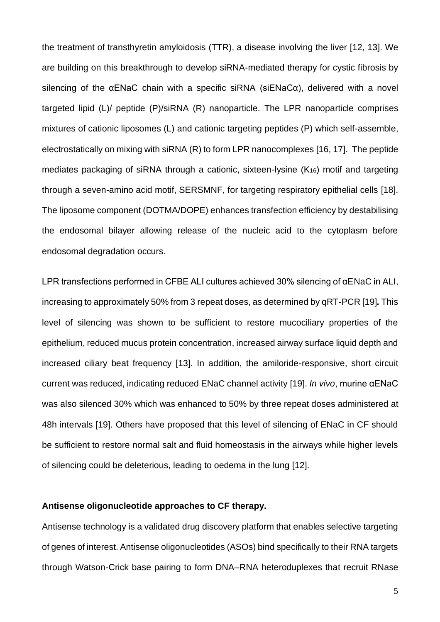the treatment of transthyretin amyloidosis (TTR), a disease involving the liver [12, 13]. We are building on this breakthrough to develop siRNA-mediated therapy for cystic fibrosis by silencing of the αENaC chain with a specific siRNA (siENaCα), delivered with a novel targeted lipid (L)/ peptide (P)/siRNA (R) nanoparticle. The LPR nanoparticle comprises mixtures of cationic liposomes (L) and cationic targeting peptides (P) which self-assemble, electrostatically on mixing with siRNA (R) to form LPR nanocomplexes [16, 17]. The peptide mediates packaging of siRNA through a cationic, sixteen-lysine (K16) motif and targeting through a seven-amino acid motif, SERSMNF, for targeting respiratory epithelial cells [18]. The liposome component (DOTMA/DOPE) enhances transfection efficiency by destabilising the endosomal bilayer allowing release of the nucleic acid to the cytoplasm before endosomal degradation occurs.

LPR transfections performed in CFBE ALI cultures achieved 30% silencing of αENaC in ALI, increasing to approximately 50% from 3 repeat doses, as determined by qRT-PCR [19]*.* This level of silencing was shown to be sufficient to restore mucociliary properties of the epithelium, reduced mucus protein concentration, increased airway surface liquid depth and increased ciliary beat frequency [13]. In addition, the amiloride-responsive, short circuit current was reduced, indicating reduced ENaC channel activity [19]. *In vivo*, murine αENaC was also silenced 30% which was enhanced to 50% by three repeat doses administered at 48h intervals [19]. Others have proposed that this level of silencing of ENaC in CF should be sufficient to restore normal salt and fluid homeostasis in the airways while higher levels of silencing could be deleterious, leading to oedema in the lung [12].

## **Antisense oligonucleotide approaches to CF therapy.**

Antisense technology is a validated drug discovery platform that enables selective targeting of genes of interest. Antisense oligonucleotides (ASOs) bind specifically to their RNA targets through Watson-Crick base pairing to form DNA–RNA heteroduplexes that recruit RNase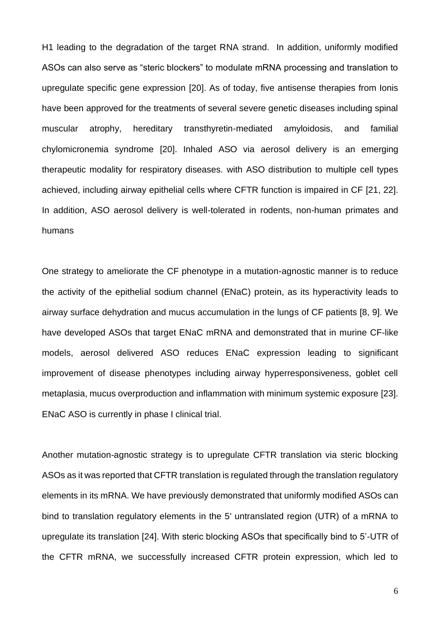H1 leading to the degradation of the target RNA strand. In addition, uniformly modified ASOs can also serve as "steric blockers" to modulate mRNA processing and translation to upregulate specific gene expression [20]. As of today, five antisense therapies from Ionis have been approved for the treatments of several severe genetic diseases including spinal muscular atrophy, hereditary transthyretin-mediated amyloidosis, and familial chylomicronemia syndrome [20]. Inhaled ASO via aerosol delivery is an emerging therapeutic modality for respiratory diseases. with ASO distribution to multiple cell types achieved, including airway epithelial cells where CFTR function is impaired in CF [21, 22]. In addition, ASO aerosol delivery is well-tolerated in rodents, non-human primates and humans

One strategy to ameliorate the CF phenotype in a mutation-agnostic manner is to reduce the activity of the epithelial sodium channel (ENaC) protein, as its hyperactivity leads to airway surface dehydration and mucus accumulation in the lungs of CF patients [8, 9]. We have developed ASOs that target ENaC mRNA and demonstrated that in murine CF-like models, aerosol delivered ASO reduces ENaC expression leading to significant improvement of disease phenotypes including airway hyperresponsiveness, goblet cell metaplasia, mucus overproduction and inflammation with minimum systemic exposure [23]. ENaC ASO is currently in phase I clinical trial.

Another mutation-agnostic strategy is to upregulate CFTR translation via steric blocking ASOs as it was reported that CFTR translation is regulated through the translation regulatory elements in its mRNA. We have previously demonstrated that uniformly modified ASOs can bind to translation regulatory elements in the 5' untranslated region (UTR) of a mRNA to upregulate its translation [24]. With steric blocking ASOs that specifically bind to 5'-UTR of the CFTR mRNA, we successfully increased CFTR protein expression, which led to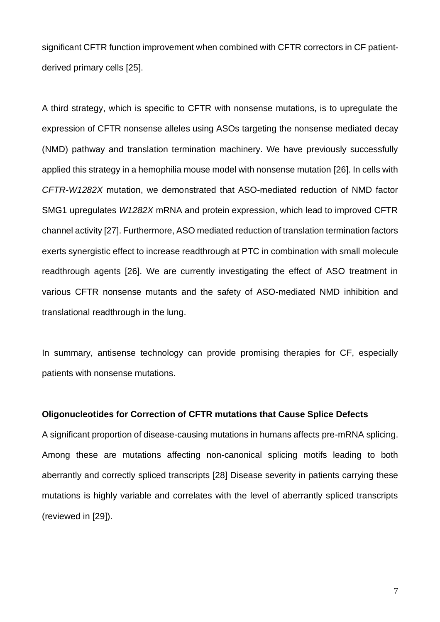significant CFTR function improvement when combined with CFTR correctors in CF patientderived primary cells [25].

A third strategy, which is specific to CFTR with nonsense mutations, is to upregulate the expression of CFTR nonsense alleles using ASOs targeting the nonsense mediated decay (NMD) pathway and translation termination machinery. We have previously successfully applied this strategy in a hemophilia mouse model with nonsense mutation [26]. In cells with *CFTR-W1282X* mutation, we demonstrated that ASO-mediated reduction of NMD factor SMG1 upregulates *W1282X* mRNA and protein expression, which lead to improved CFTR channel activity [27]. Furthermore, ASO mediated reduction of translation termination factors exerts synergistic effect to increase readthrough at PTC in combination with small molecule readthrough agents [26]. We are currently investigating the effect of ASO treatment in various CFTR nonsense mutants and the safety of ASO-mediated NMD inhibition and translational readthrough in the lung.

In summary, antisense technology can provide promising therapies for CF, especially patients with nonsense mutations.

#### **Oligonucleotides for Correction of CFTR mutations that Cause Splice Defects**

A significant proportion of disease-causing mutations in humans affects pre-mRNA splicing. Among these are mutations affecting non-canonical splicing motifs leading to both aberrantly and correctly spliced transcripts [28] Disease severity in patients carrying these mutations is highly variable and correlates with the level of aberrantly spliced transcripts (reviewed in [29]).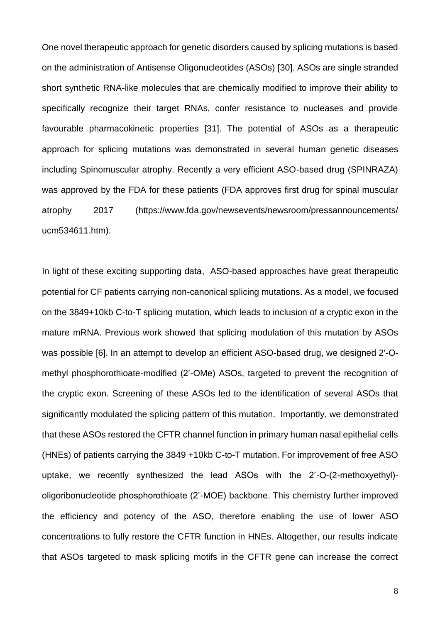One novel therapeutic approach for genetic disorders caused by splicing mutations is based on the administration of Antisense Oligonucleotides (ASOs) [30]. ASOs are single stranded short synthetic RNA-like molecules that are chemically modified to improve their ability to specifically recognize their target RNAs, confer resistance to nucleases and provide favourable pharmacokinetic properties [31]. The potential of ASOs as a therapeutic approach for splicing mutations was demonstrated in several human genetic diseases including Spinomuscular atrophy. Recently a very efficient ASO-based drug (SPINRAZA) was approved by the FDA for these patients (FDA approves first drug for spinal muscular atrophy 2017 (https://www.fda.gov/newsevents/newsroom/pressannouncements/ ucm534611.htm).

In light of these exciting supporting data, ASO-based approaches have great therapeutic potential for CF patients carrying non-canonical splicing mutations. As a model, we focused on the 3849+10kb C-to-T splicing mutation, which leads to inclusion of a cryptic exon in the mature mRNA. Previous work showed that splicing modulation of this mutation by ASOs was possible [6]. In an attempt to develop an efficient ASO-based drug, we designed 2'-Omethyl phosphorothioate-modified (2'-OMe) ASOs, targeted to prevent the recognition of the cryptic exon. Screening of these ASOs led to the identification of several ASOs that significantly modulated the splicing pattern of this mutation. Importantly, we demonstrated that these ASOs restored the CFTR channel function in primary human nasal epithelial cells (HNEs) of patients carrying the 3849 +10kb C-to-T mutation. For improvement of free ASO uptake, we recently synthesized the lead ASOs with the 2'-O-(2-methoxyethyl) oligoribonucleotide phosphorothioate (2'-MOE) backbone. This chemistry further improved the efficiency and potency of the ASO, therefore enabling the use of lower ASO concentrations to fully restore the CFTR function in HNEs. Altogether, our results indicate that ASOs targeted to mask splicing motifs in the CFTR gene can increase the correct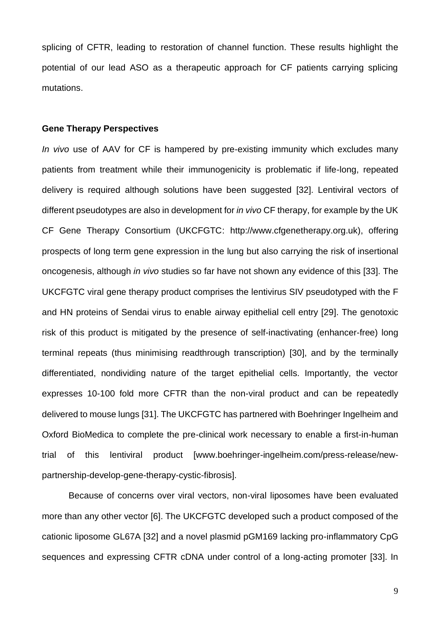splicing of CFTR, leading to restoration of channel function. These results highlight the potential of our lead ASO as a therapeutic approach for CF patients carrying splicing mutations.

#### **Gene Therapy Perspectives**

*In vivo* use of AAV for CF is hampered by pre-existing immunity which excludes many patients from treatment while their immunogenicity is problematic if life-long, repeated delivery is required although solutions have been suggested [32]. Lentiviral vectors of different pseudotypes are also in development for *in vivo* CF therapy, for example by the UK CF Gene Therapy Consortium (UKCFGTC: http://www.cfgenetherapy.org.uk), offering prospects of long term gene expression in the lung but also carrying the risk of insertional oncogenesis, although *in vivo* studies so far have not shown any evidence of this [33]. The UKCFGTC viral gene therapy product comprises the lentivirus SIV pseudotyped with the F and HN proteins of Sendai virus to enable airway epithelial cell entry [29]. The genotoxic risk of this product is mitigated by the presence of self-inactivating (enhancer-free) long terminal repeats (thus minimising readthrough transcription) [30], and by the terminally differentiated, nondividing nature of the target epithelial cells. Importantly, the vector expresses 10-100 fold more CFTR than the non-viral product and can be repeatedly delivered to mouse lungs [31]. The UKCFGTC has partnered with Boehringer Ingelheim and Oxford BioMedica to complete the pre-clinical work necessary to enable a first-in-human trial of this lentiviral product [www.boehringer-ingelheim.com/press-release/newpartnership-develop-gene-therapy-cystic-fibrosis].

Because of concerns over viral vectors, non-viral liposomes have been evaluated more than any other vector [6]. The UKCFGTC developed such a product composed of the cationic liposome GL67A [32] and a novel plasmid pGM169 lacking pro-inflammatory CpG sequences and expressing CFTR cDNA under control of a long-acting promoter [33]. In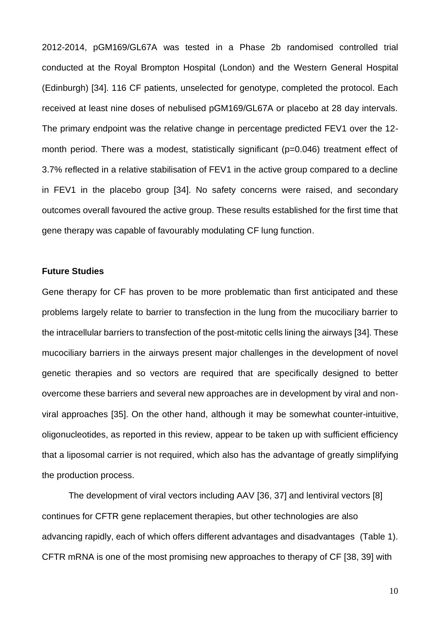2012-2014, pGM169/GL67A was tested in a Phase 2b randomised controlled trial conducted at the Royal Brompton Hospital (London) and the Western General Hospital (Edinburgh) [34]. 116 CF patients, unselected for genotype, completed the protocol. Each received at least nine doses of nebulised pGM169/GL67A or placebo at 28 day intervals. The primary endpoint was the relative change in percentage predicted FEV1 over the 12 month period. There was a modest, statistically significant (p=0.046) treatment effect of 3.7% reflected in a relative stabilisation of FEV1 in the active group compared to a decline in FEV1 in the placebo group [34]. No safety concerns were raised, and secondary outcomes overall favoured the active group. These results established for the first time that gene therapy was capable of favourably modulating CF lung function.

# **Future Studies**

Gene therapy for CF has proven to be more problematic than first anticipated and these problems largely relate to barrier to transfection in the lung from the mucociliary barrier to the intracellular barriers to transfection of the post-mitotic cells lining the airways [34]. These mucociliary barriers in the airways present major challenges in the development of novel genetic therapies and so vectors are required that are specifically designed to better overcome these barriers and several new approaches are in development by viral and nonviral approaches [35]. On the other hand, although it may be somewhat counter-intuitive, oligonucleotides, as reported in this review, appear to be taken up with sufficient efficiency that a liposomal carrier is not required, which also has the advantage of greatly simplifying the production process.

The development of viral vectors including AAV [36, 37] and lentiviral vectors [8] continues for CFTR gene replacement therapies, but other technologies are also advancing rapidly, each of which offers different advantages and disadvantages (Table 1). CFTR mRNA is one of the most promising new approaches to therapy of CF [38, 39] with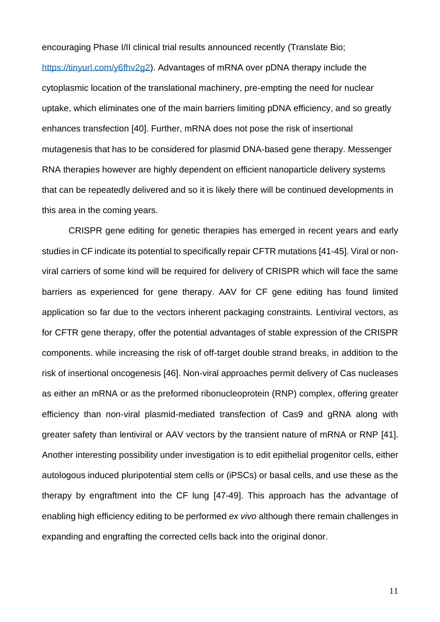encouraging Phase I/II clinical trial results announced recently (Translate Bio; https://tinyurl.com/y6fhv2q2). Advantages of mRNA over pDNA therapy include the cytoplasmic location of the translational machinery, pre-empting the need for nuclear uptake, which eliminates one of the main barriers limiting pDNA efficiency, and so greatly enhances transfection [40]. Further, mRNA does not pose the risk of insertional mutagenesis that has to be considered for plasmid DNA-based gene therapy. Messenger RNA therapies however are highly dependent on efficient nanoparticle delivery systems that can be repeatedly delivered and so it is likely there will be continued developments in this area in the coming years.

CRISPR gene editing for genetic therapies has emerged in recent years and early studies in CF indicate its potential to specifically repair CFTR mutations [41-45]. Viral or nonviral carriers of some kind will be required for delivery of CRISPR which will face the same barriers as experienced for gene therapy. AAV for CF gene editing has found limited application so far due to the vectors inherent packaging constraints. Lentiviral vectors, as for CFTR gene therapy, offer the potential advantages of stable expression of the CRISPR components. while increasing the risk of off-target double strand breaks, in addition to the risk of insertional oncogenesis [46]. Non-viral approaches permit delivery of Cas nucleases as either an mRNA or as the preformed ribonucleoprotein (RNP) complex, offering greater efficiency than non-viral plasmid-mediated transfection of Cas9 and gRNA along with greater safety than lentiviral or AAV vectors by the transient nature of mRNA or RNP [41]. Another interesting possibility under investigation is to edit epithelial progenitor cells, either autologous induced pluripotential stem cells or (iPSCs) or basal cells, and use these as the therapy by engraftment into the CF lung [47-49]. This approach has the advantage of enabling high efficiency editing to be performed *ex vivo* although there remain challenges in expanding and engrafting the corrected cells back into the original donor.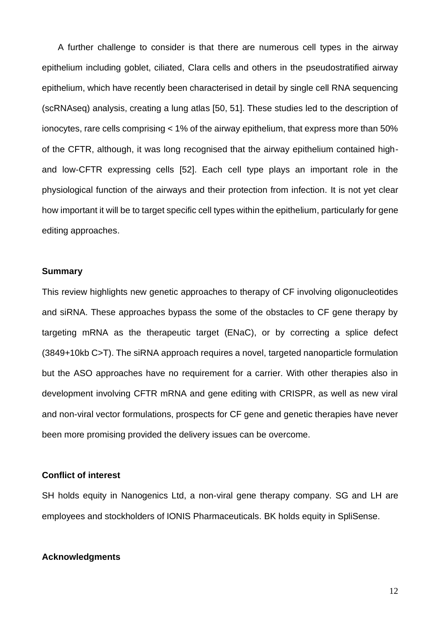A further challenge to consider is that there are numerous cell types in the airway epithelium including goblet, ciliated, Clara cells and others in the pseudostratified airway epithelium, which have recently been characterised in detail by single cell RNA sequencing (scRNAseq) analysis, creating a lung atlas [50, 51]. These studies led to the description of ionocytes, rare cells comprising < 1% of the airway epithelium, that express more than 50% of the CFTR, although, it was long recognised that the airway epithelium contained highand low-CFTR expressing cells [52]. Each cell type plays an important role in the physiological function of the airways and their protection from infection. It is not yet clear how important it will be to target specific cell types within the epithelium, particularly for gene editing approaches.

# **Summary**

This review highlights new genetic approaches to therapy of CF involving oligonucleotides and siRNA. These approaches bypass the some of the obstacles to CF gene therapy by targeting mRNA as the therapeutic target (ENaC), or by correcting a splice defect (3849+10kb C>T). The siRNA approach requires a novel, targeted nanoparticle formulation but the ASO approaches have no requirement for a carrier. With other therapies also in development involving CFTR mRNA and gene editing with CRISPR, as well as new viral and non-viral vector formulations, prospects for CF gene and genetic therapies have never been more promising provided the delivery issues can be overcome.

#### **Conflict of interest**

SH holds equity in Nanogenics Ltd, a non-viral gene therapy company. SG and LH are employees and stockholders of IONIS Pharmaceuticals. BK holds equity in SpliSense.

## **Acknowledgments**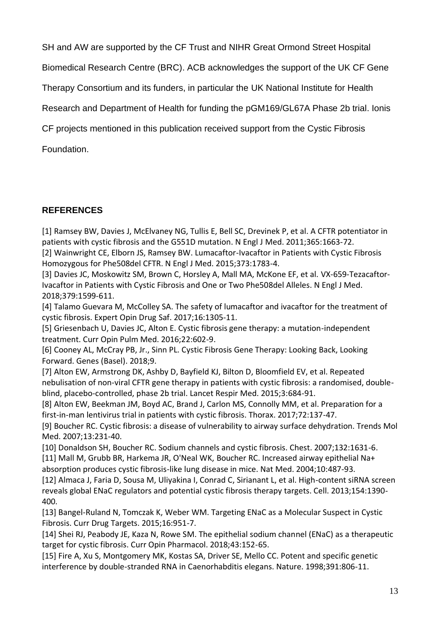SH and AW are supported by the CF Trust and NIHR Great Ormond Street Hospital

Biomedical Research Centre (BRC). ACB acknowledges the support of the UK CF Gene

Therapy Consortium and its funders, in particular the UK National Institute for Health

Research and Department of Health for funding the pGM169/GL67A Phase 2b trial. Ionis

CF projects mentioned in this publication received support from the Cystic Fibrosis

Foundation.

# **REFERENCES**

[1] Ramsey BW, Davies J, McElvaney NG, Tullis E, Bell SC, Drevinek P, et al. A CFTR potentiator in patients with cystic fibrosis and the G551D mutation. N Engl J Med. 2011;365:1663-72.

[2] Wainwright CE, Elborn JS, Ramsey BW. Lumacaftor-Ivacaftor in Patients with Cystic Fibrosis Homozygous for Phe508del CFTR. N Engl J Med. 2015;373:1783-4.

[3] Davies JC, Moskowitz SM, Brown C, Horsley A, Mall MA, McKone EF, et al. VX-659-Tezacaftor-Ivacaftor in Patients with Cystic Fibrosis and One or Two Phe508del Alleles. N Engl J Med. 2018;379:1599-611.

[4] Talamo Guevara M, McColley SA. The safety of lumacaftor and ivacaftor for the treatment of cystic fibrosis. Expert Opin Drug Saf. 2017;16:1305-11.

[5] Griesenbach U, Davies JC, Alton E. Cystic fibrosis gene therapy: a mutation-independent treatment. Curr Opin Pulm Med. 2016;22:602-9.

[6] Cooney AL, McCray PB, Jr., Sinn PL. Cystic Fibrosis Gene Therapy: Looking Back, Looking Forward. Genes (Basel). 2018;9.

[7] Alton EW, Armstrong DK, Ashby D, Bayfield KJ, Bilton D, Bloomfield EV, et al. Repeated nebulisation of non-viral CFTR gene therapy in patients with cystic fibrosis: a randomised, doubleblind, placebo-controlled, phase 2b trial. Lancet Respir Med. 2015;3:684-91.

[8] Alton EW, Beekman JM, Boyd AC, Brand J, Carlon MS, Connolly MM, et al. Preparation for a first-in-man lentivirus trial in patients with cystic fibrosis. Thorax. 2017;72:137-47.

[9] Boucher RC. Cystic fibrosis: a disease of vulnerability to airway surface dehydration. Trends Mol Med. 2007;13:231-40.

[10] Donaldson SH, Boucher RC. Sodium channels and cystic fibrosis. Chest. 2007;132:1631-6. [11] Mall M, Grubb BR, Harkema JR, O'Neal WK, Boucher RC. Increased airway epithelial Na+ absorption produces cystic fibrosis-like lung disease in mice. Nat Med. 2004;10:487-93.

[12] Almaca J, Faria D, Sousa M, Uliyakina I, Conrad C, Sirianant L, et al. High-content siRNA screen reveals global ENaC regulators and potential cystic fibrosis therapy targets. Cell. 2013;154:1390- 400.

[13] Bangel-Ruland N, Tomczak K, Weber WM. Targeting ENaC as a Molecular Suspect in Cystic Fibrosis. Curr Drug Targets. 2015;16:951-7.

[14] Shei RJ, Peabody JE, Kaza N, Rowe SM. The epithelial sodium channel (ENaC) as a therapeutic target for cystic fibrosis. Curr Opin Pharmacol. 2018;43:152-65.

[15] Fire A, Xu S, Montgomery MK, Kostas SA, Driver SE, Mello CC. Potent and specific genetic interference by double-stranded RNA in Caenorhabditis elegans. Nature. 1998;391:806-11.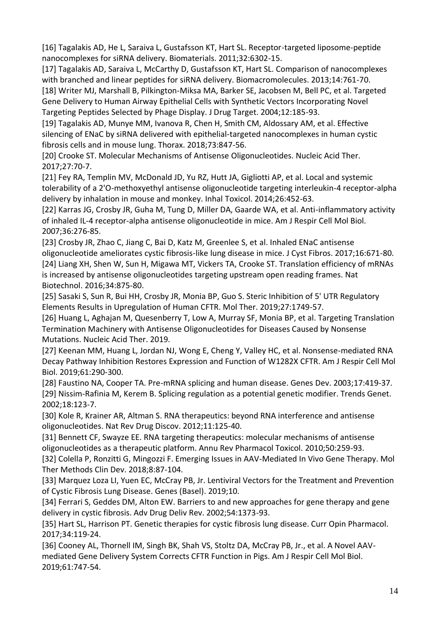[16] Tagalakis AD, He L, Saraiva L, Gustafsson KT, Hart SL. Receptor-targeted liposome-peptide nanocomplexes for siRNA delivery. Biomaterials. 2011;32:6302-15.

[17] Tagalakis AD, Saraiva L, McCarthy D, Gustafsson KT, Hart SL. Comparison of nanocomplexes with branched and linear peptides for siRNA delivery. Biomacromolecules. 2013;14:761-70. [18] Writer MJ, Marshall B, Pilkington-Miksa MA, Barker SE, Jacobsen M, Bell PC, et al. Targeted Gene Delivery to Human Airway Epithelial Cells with Synthetic Vectors Incorporating Novel Targeting Peptides Selected by Phage Display. J Drug Target. 2004;12:185-93.

[19] Tagalakis AD, Munye MM, Ivanova R, Chen H, Smith CM, Aldossary AM, et al. Effective silencing of ENaC by siRNA delivered with epithelial-targeted nanocomplexes in human cystic fibrosis cells and in mouse lung. Thorax. 2018;73:847-56.

[20] Crooke ST. Molecular Mechanisms of Antisense Oligonucleotides. Nucleic Acid Ther. 2017;27:70-7.

[21] Fey RA, Templin MV, McDonald JD, Yu RZ, Hutt JA, Gigliotti AP, et al. Local and systemic tolerability of a 2'O-methoxyethyl antisense oligonucleotide targeting interleukin-4 receptor-alpha delivery by inhalation in mouse and monkey. Inhal Toxicol. 2014;26:452-63.

[22] Karras JG, Crosby JR, Guha M, Tung D, Miller DA, Gaarde WA, et al. Anti-inflammatory activity of inhaled IL-4 receptor-alpha antisense oligonucleotide in mice. Am J Respir Cell Mol Biol. 2007;36:276-85.

[23] Crosby JR, Zhao C, Jiang C, Bai D, Katz M, Greenlee S, et al. Inhaled ENaC antisense oligonucleotide ameliorates cystic fibrosis-like lung disease in mice. J Cyst Fibros. 2017;16:671-80. [24] Liang XH, Shen W, Sun H, Migawa MT, Vickers TA, Crooke ST. Translation efficiency of mRNAs is increased by antisense oligonucleotides targeting upstream open reading frames. Nat Biotechnol. 2016;34:875-80.

[25] Sasaki S, Sun R, Bui HH, Crosby JR, Monia BP, Guo S. Steric Inhibition of 5' UTR Regulatory Elements Results in Upregulation of Human CFTR. Mol Ther. 2019;27:1749-57.

[26] Huang L, Aghajan M, Quesenberry T, Low A, Murray SF, Monia BP, et al. Targeting Translation Termination Machinery with Antisense Oligonucleotides for Diseases Caused by Nonsense Mutations. Nucleic Acid Ther. 2019.

[27] Keenan MM, Huang L, Jordan NJ, Wong E, Cheng Y, Valley HC, et al. Nonsense-mediated RNA Decay Pathway Inhibition Restores Expression and Function of W1282X CFTR. Am J Respir Cell Mol Biol. 2019;61:290-300.

[28] Faustino NA, Cooper TA. Pre-mRNA splicing and human disease. Genes Dev. 2003;17:419-37. [29] Nissim-Rafinia M, Kerem B. Splicing regulation as a potential genetic modifier. Trends Genet. 2002;18:123-7.

[30] Kole R, Krainer AR, Altman S. RNA therapeutics: beyond RNA interference and antisense oligonucleotides. Nat Rev Drug Discov. 2012;11:125-40.

[31] Bennett CF, Swayze EE. RNA targeting therapeutics: molecular mechanisms of antisense oligonucleotides as a therapeutic platform. Annu Rev Pharmacol Toxicol. 2010;50:259-93.

[32] Colella P, Ronzitti G, Mingozzi F. Emerging Issues in AAV-Mediated In Vivo Gene Therapy. Mol Ther Methods Clin Dev. 2018;8:87-104.

[33] Marquez Loza LI, Yuen EC, McCray PB, Jr. Lentiviral Vectors for the Treatment and Prevention of Cystic Fibrosis Lung Disease. Genes (Basel). 2019;10.

[34] Ferrari S, Geddes DM, Alton EW. Barriers to and new approaches for gene therapy and gene delivery in cystic fibrosis. Adv Drug Deliv Rev. 2002;54:1373-93.

[35] Hart SL, Harrison PT. Genetic therapies for cystic fibrosis lung disease. Curr Opin Pharmacol. 2017;34:119-24.

[36] Cooney AL, Thornell IM, Singh BK, Shah VS, Stoltz DA, McCray PB, Jr., et al. A Novel AAVmediated Gene Delivery System Corrects CFTR Function in Pigs. Am J Respir Cell Mol Biol. 2019;61:747-54.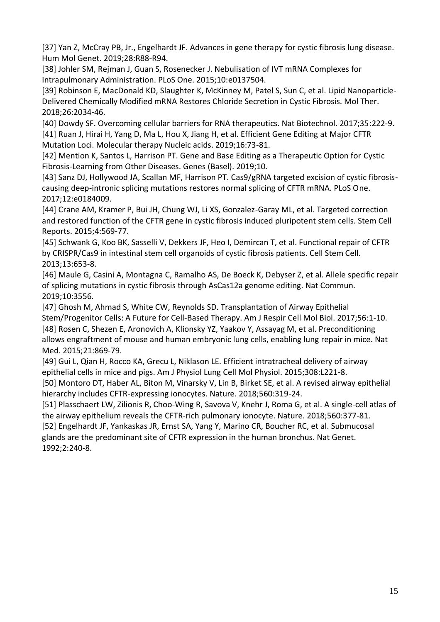[37] Yan Z, McCray PB, Jr., Engelhardt JF. Advances in gene therapy for cystic fibrosis lung disease. Hum Mol Genet. 2019;28:R88-R94.

[38] Johler SM, Rejman J, Guan S, Rosenecker J. Nebulisation of IVT mRNA Complexes for Intrapulmonary Administration. PLoS One. 2015;10:e0137504.

[39] Robinson E, MacDonald KD, Slaughter K, McKinney M, Patel S, Sun C, et al. Lipid Nanoparticle-Delivered Chemically Modified mRNA Restores Chloride Secretion in Cystic Fibrosis. Mol Ther. 2018;26:2034-46.

[40] Dowdy SF. Overcoming cellular barriers for RNA therapeutics. Nat Biotechnol. 2017;35:222-9. [41] Ruan J, Hirai H, Yang D, Ma L, Hou X, Jiang H, et al. Efficient Gene Editing at Major CFTR Mutation Loci. Molecular therapy Nucleic acids. 2019;16:73-81.

[42] Mention K, Santos L, Harrison PT. Gene and Base Editing as a Therapeutic Option for Cystic Fibrosis-Learning from Other Diseases. Genes (Basel). 2019;10.

[43] Sanz DJ, Hollywood JA, Scallan MF, Harrison PT. Cas9/gRNA targeted excision of cystic fibrosiscausing deep-intronic splicing mutations restores normal splicing of CFTR mRNA. PLoS One. 2017;12:e0184009.

[44] Crane AM, Kramer P, Bui JH, Chung WJ, Li XS, Gonzalez-Garay ML, et al. Targeted correction and restored function of the CFTR gene in cystic fibrosis induced pluripotent stem cells. Stem Cell Reports. 2015;4:569-77.

[45] Schwank G, Koo BK, Sasselli V, Dekkers JF, Heo I, Demircan T, et al. Functional repair of CFTR by CRISPR/Cas9 in intestinal stem cell organoids of cystic fibrosis patients. Cell Stem Cell. 2013;13:653-8.

[46] Maule G, Casini A, Montagna C, Ramalho AS, De Boeck K, Debyser Z, et al. Allele specific repair of splicing mutations in cystic fibrosis through AsCas12a genome editing. Nat Commun. 2019;10:3556.

[47] Ghosh M, Ahmad S, White CW, Reynolds SD. Transplantation of Airway Epithelial Stem/Progenitor Cells: A Future for Cell-Based Therapy. Am J Respir Cell Mol Biol. 2017;56:1-10. [48] Rosen C, Shezen E, Aronovich A, Klionsky YZ, Yaakov Y, Assayag M, et al. Preconditioning allows engraftment of mouse and human embryonic lung cells, enabling lung repair in mice. Nat Med. 2015;21:869-79.

[49] Gui L, Qian H, Rocco KA, Grecu L, Niklason LE. Efficient intratracheal delivery of airway epithelial cells in mice and pigs. Am J Physiol Lung Cell Mol Physiol. 2015;308:L221-8.

[50] Montoro DT, Haber AL, Biton M, Vinarsky V, Lin B, Birket SE, et al. A revised airway epithelial hierarchy includes CFTR-expressing ionocytes. Nature. 2018;560:319-24.

[51] Plasschaert LW, Zilionis R, Choo-Wing R, Savova V, Knehr J, Roma G, et al. A single-cell atlas of the airway epithelium reveals the CFTR-rich pulmonary ionocyte. Nature. 2018;560:377-81.

[52] Engelhardt JF, Yankaskas JR, Ernst SA, Yang Y, Marino CR, Boucher RC, et al. Submucosal glands are the predominant site of CFTR expression in the human bronchus. Nat Genet. 1992;2:240-8.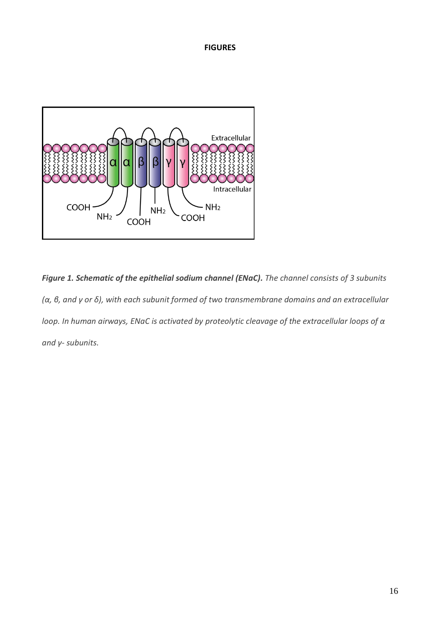# **FIGURES**



*Figure 1. Schematic of the epithelial sodium channel (ENaC). The channel consists of 3 subunits (α, β, and γ or δ), with each subunit formed of two transmembrane domains and an extracellular loop. In human airways, ENaC is activated by proteolytic cleavage of the extracellular loops of α and γ- subunits.*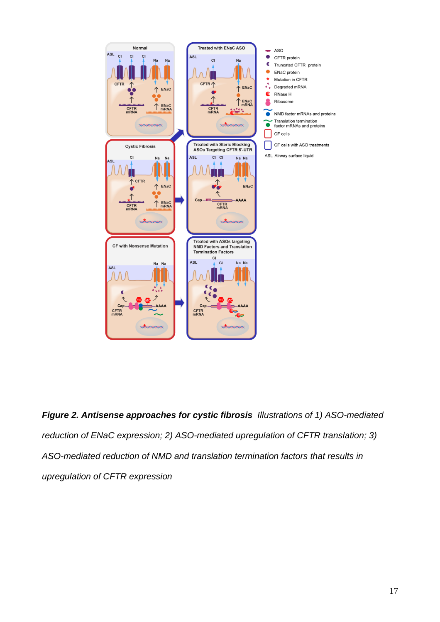

*Figure 2. Antisense approaches for cystic fibrosis Illustrations of 1) ASO-mediated reduction of ENaC expression; 2) ASO-mediated upregulation of CFTR translation; 3) ASO-mediated reduction of NMD and translation termination factors that results in upregulation of CFTR expression*